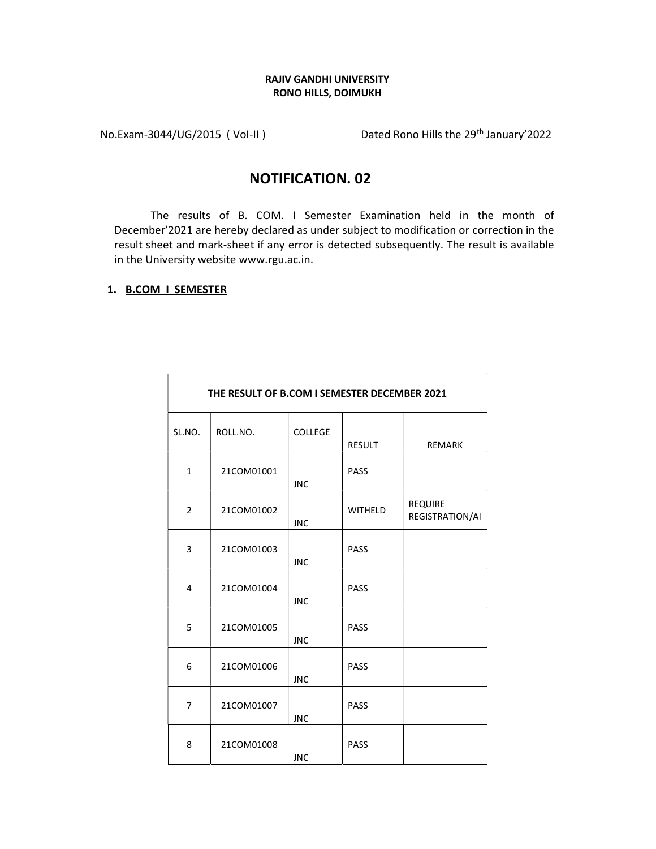## RAJIV GANDHI UNIVERSITY RONO HILLS, DOIMUKH

No.Exam-3044/UG/2015 (Vol-II) Dated Rono Hills the 29<sup>th</sup> January'2022

## NOTIFICATION. 02

The results of B. COM. I Semester Examination held in the month of December'2021 are hereby declared as under subject to modification or correction in the result sheet and mark-sheet if any error is detected subsequently. The result is available in the University website www.rgu.ac.in.

## 1. B.COM I SEMESTER

| THE RESULT OF B.COM I SEMESTER DECEMBER 2021 |            |                |                |                                   |
|----------------------------------------------|------------|----------------|----------------|-----------------------------------|
| SL.NO.                                       | ROLL.NO.   | <b>COLLEGE</b> | <b>RESULT</b>  | <b>REMARK</b>                     |
| $\mathbf{1}$                                 | 21COM01001 | <b>JNC</b>     | <b>PASS</b>    |                                   |
| $\overline{2}$                               | 21COM01002 | <b>JNC</b>     | <b>WITHELD</b> | <b>REQUIRE</b><br>REGISTRATION/AI |
| 3                                            | 21COM01003 | <b>JNC</b>     | <b>PASS</b>    |                                   |
| 4                                            | 21COM01004 | <b>JNC</b>     | <b>PASS</b>    |                                   |
| 5                                            | 21COM01005 | <b>JNC</b>     | <b>PASS</b>    |                                   |
| 6                                            | 21COM01006 | <b>JNC</b>     | <b>PASS</b>    |                                   |
| $\overline{7}$                               | 21COM01007 | <b>JNC</b>     | <b>PASS</b>    |                                   |
| 8                                            | 21COM01008 | <b>JNC</b>     | <b>PASS</b>    |                                   |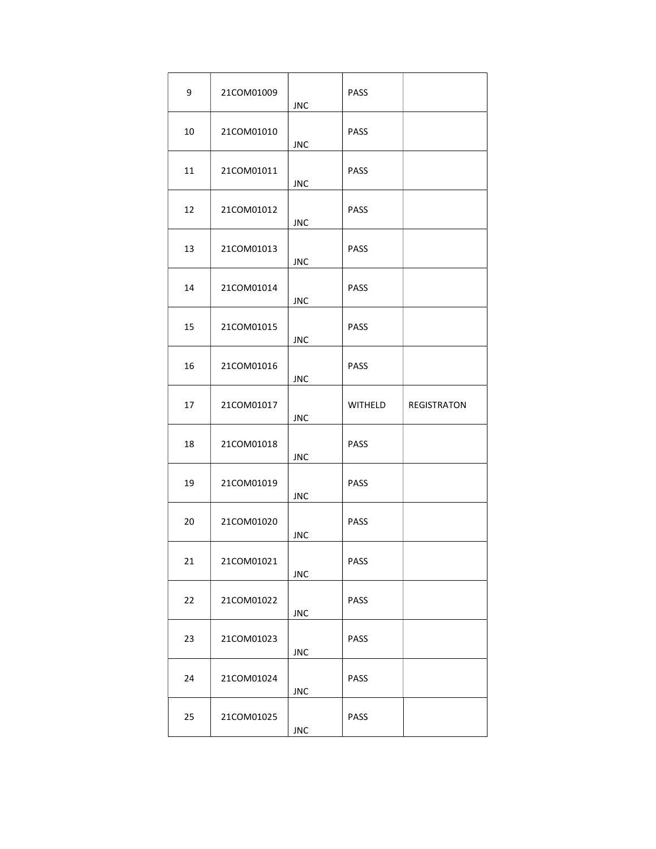| 9  | 21COM01009 | <b>JNC</b> | PASS        |             |
|----|------------|------------|-------------|-------------|
| 10 | 21COM01010 | <b>JNC</b> | <b>PASS</b> |             |
| 11 | 21COM01011 | <b>JNC</b> | <b>PASS</b> |             |
| 12 | 21COM01012 | <b>JNC</b> | <b>PASS</b> |             |
| 13 | 21COM01013 | <b>JNC</b> | <b>PASS</b> |             |
| 14 | 21COM01014 | <b>JNC</b> | <b>PASS</b> |             |
| 15 | 21COM01015 | <b>JNC</b> | PASS        |             |
| 16 | 21COM01016 | <b>JNC</b> | PASS        |             |
| 17 | 21COM01017 | <b>JNC</b> | WITHELD     | REGISTRATON |
| 18 | 21COM01018 | <b>JNC</b> | PASS        |             |
| 19 | 21COM01019 | <b>JNC</b> | PASS        |             |
| 20 | 21COM01020 | <b>JNC</b> | PASS        |             |
| 21 | 21COM01021 | <b>JNC</b> | PASS        |             |
| 22 | 21COM01022 | <b>JNC</b> | PASS        |             |
| 23 | 21COM01023 | <b>JNC</b> | PASS        |             |
| 24 | 21COM01024 | <b>JNC</b> | <b>PASS</b> |             |
| 25 | 21COM01025 | <b>JNC</b> | PASS        |             |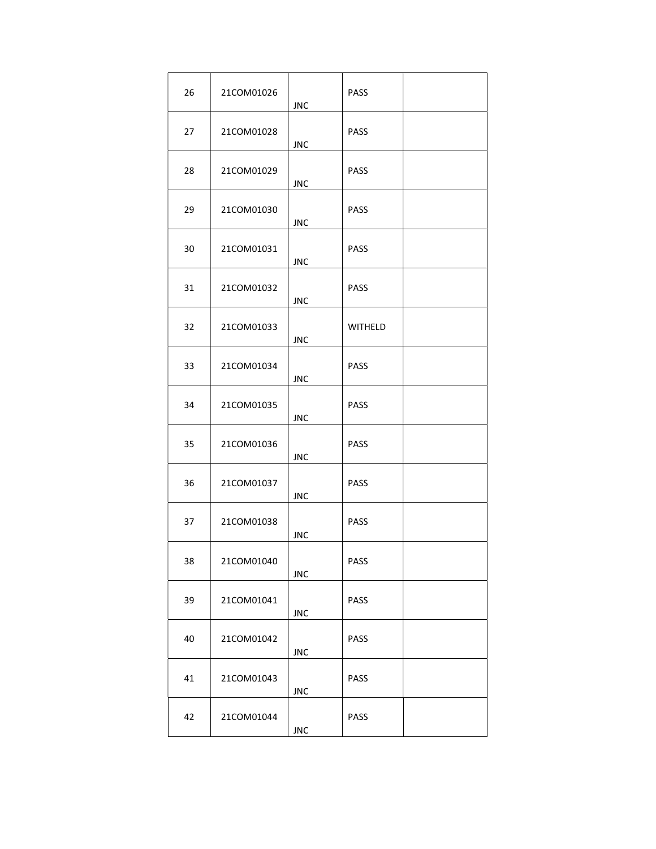| 26 | 21COM01026 | <b>JNC</b> | <b>PASS</b>    |  |
|----|------------|------------|----------------|--|
| 27 | 21COM01028 | <b>JNC</b> | <b>PASS</b>    |  |
| 28 | 21COM01029 | <b>JNC</b> | <b>PASS</b>    |  |
| 29 | 21COM01030 | <b>JNC</b> | <b>PASS</b>    |  |
| 30 | 21COM01031 | <b>JNC</b> | <b>PASS</b>    |  |
| 31 | 21COM01032 | <b>JNC</b> | <b>PASS</b>    |  |
| 32 | 21COM01033 | <b>JNC</b> | <b>WITHELD</b> |  |
| 33 | 21COM01034 | <b>JNC</b> | <b>PASS</b>    |  |
| 34 | 21COM01035 | <b>JNC</b> | <b>PASS</b>    |  |
| 35 | 21COM01036 | <b>JNC</b> | <b>PASS</b>    |  |
| 36 | 21COM01037 | <b>JNC</b> | PASS           |  |
| 37 | 21COM01038 | <b>JNC</b> | <b>PASS</b>    |  |
| 38 | 21COM01040 | <b>JNC</b> | PASS           |  |
| 39 | 21COM01041 | <b>JNC</b> | PASS           |  |
| 40 | 21COM01042 | <b>JNC</b> | PASS           |  |
| 41 | 21COM01043 | <b>JNC</b> | <b>PASS</b>    |  |
| 42 | 21COM01044 | <b>JNC</b> | PASS           |  |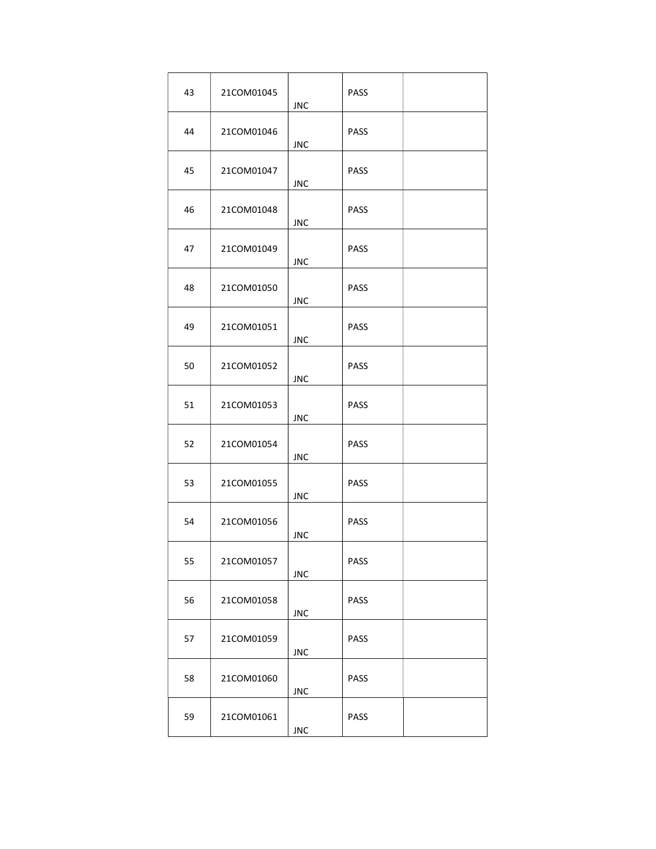| 43 | 21COM01045 | <b>JNC</b> | <b>PASS</b> |  |
|----|------------|------------|-------------|--|
| 44 | 21COM01046 | <b>JNC</b> | <b>PASS</b> |  |
| 45 | 21COM01047 | <b>JNC</b> | <b>PASS</b> |  |
| 46 | 21COM01048 | <b>JNC</b> | <b>PASS</b> |  |
| 47 | 21COM01049 | <b>JNC</b> | <b>PASS</b> |  |
| 48 | 21COM01050 | <b>JNC</b> | <b>PASS</b> |  |
| 49 | 21COM01051 | <b>JNC</b> | <b>PASS</b> |  |
| 50 | 21COM01052 | <b>JNC</b> | <b>PASS</b> |  |
| 51 | 21COM01053 | <b>JNC</b> | <b>PASS</b> |  |
| 52 | 21COM01054 | <b>JNC</b> | <b>PASS</b> |  |
| 53 | 21COM01055 | <b>JNC</b> | PASS        |  |
| 54 | 21COM01056 | <b>JNC</b> | <b>PASS</b> |  |
| 55 | 21COM01057 | <b>JNC</b> | PASS        |  |
| 56 | 21COM01058 | <b>JNC</b> | PASS        |  |
| 57 | 21COM01059 | <b>JNC</b> | PASS        |  |
| 58 | 21COM01060 | <b>JNC</b> | PASS        |  |
| 59 | 21COM01061 | <b>JNC</b> | PASS        |  |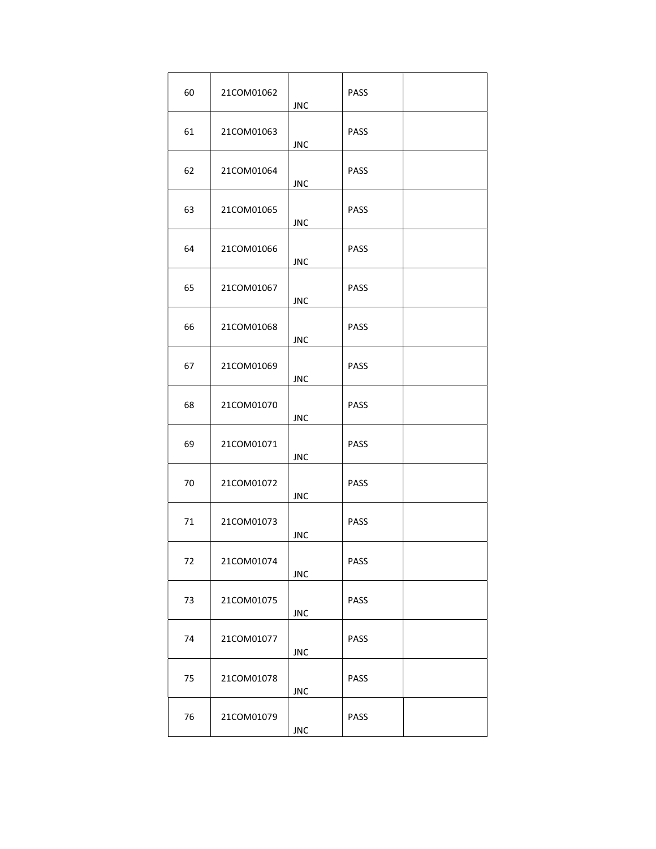| 60 | 21COM01062 | <b>JNC</b> | <b>PASS</b> |  |
|----|------------|------------|-------------|--|
| 61 | 21COM01063 | <b>JNC</b> | <b>PASS</b> |  |
| 62 | 21COM01064 | <b>JNC</b> | <b>PASS</b> |  |
| 63 | 21COM01065 | <b>JNC</b> | <b>PASS</b> |  |
| 64 | 21COM01066 | <b>JNC</b> | <b>PASS</b> |  |
| 65 | 21COM01067 | <b>JNC</b> | <b>PASS</b> |  |
| 66 | 21COM01068 | <b>JNC</b> | <b>PASS</b> |  |
| 67 | 21COM01069 | <b>JNC</b> | <b>PASS</b> |  |
| 68 | 21COM01070 | <b>JNC</b> | <b>PASS</b> |  |
| 69 | 21COM01071 | <b>JNC</b> | <b>PASS</b> |  |
| 70 | 21COM01072 | <b>JNC</b> | PASS        |  |
| 71 | 21COM01073 | <b>JNC</b> | PASS        |  |
| 72 | 21COM01074 | <b>JNC</b> | PASS        |  |
| 73 | 21COM01075 | <b>JNC</b> | PASS        |  |
| 74 | 21COM01077 | <b>JNC</b> | PASS        |  |
| 75 | 21COM01078 | <b>JNC</b> | <b>PASS</b> |  |
| 76 | 21COM01079 | <b>JNC</b> | PASS        |  |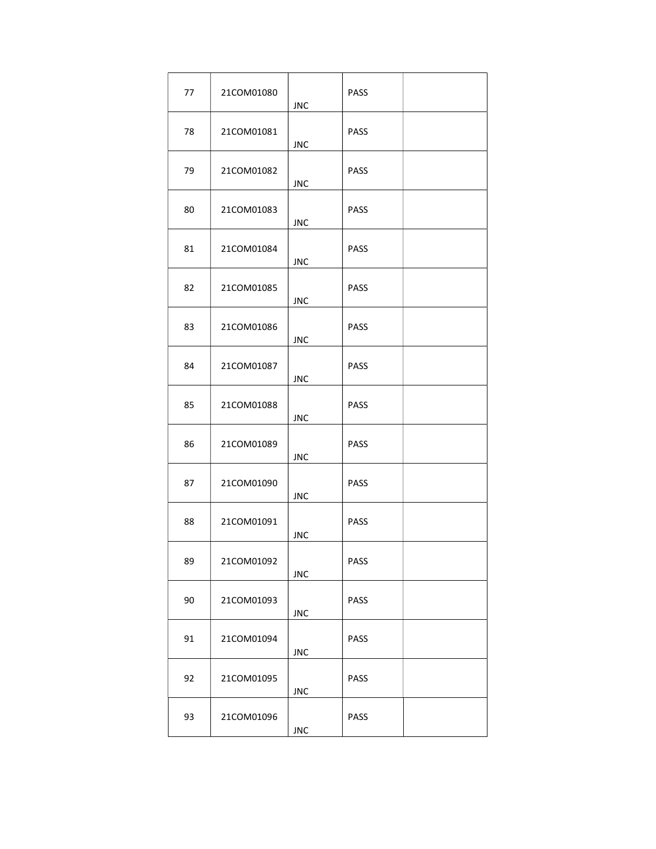| 77 | 21COM01080 | <b>JNC</b> | <b>PASS</b> |  |
|----|------------|------------|-------------|--|
| 78 | 21COM01081 | <b>JNC</b> | <b>PASS</b> |  |
| 79 | 21COM01082 | <b>JNC</b> | <b>PASS</b> |  |
| 80 | 21COM01083 | <b>JNC</b> | <b>PASS</b> |  |
| 81 | 21COM01084 | <b>JNC</b> | <b>PASS</b> |  |
| 82 | 21COM01085 | <b>JNC</b> | <b>PASS</b> |  |
| 83 | 21COM01086 | <b>JNC</b> | <b>PASS</b> |  |
| 84 | 21COM01087 | <b>JNC</b> | <b>PASS</b> |  |
| 85 | 21COM01088 | <b>JNC</b> | <b>PASS</b> |  |
| 86 | 21COM01089 | <b>JNC</b> | <b>PASS</b> |  |
| 87 | 21COM01090 | <b>JNC</b> | PASS        |  |
| 88 | 21COM01091 | <b>JNC</b> | PASS        |  |
| 89 | 21COM01092 | <b>JNC</b> | PASS        |  |
| 90 | 21COM01093 | <b>JNC</b> | PASS        |  |
| 91 | 21COM01094 | <b>JNC</b> | PASS        |  |
| 92 | 21COM01095 | <b>JNC</b> | PASS        |  |
| 93 | 21COM01096 | <b>JNC</b> | PASS        |  |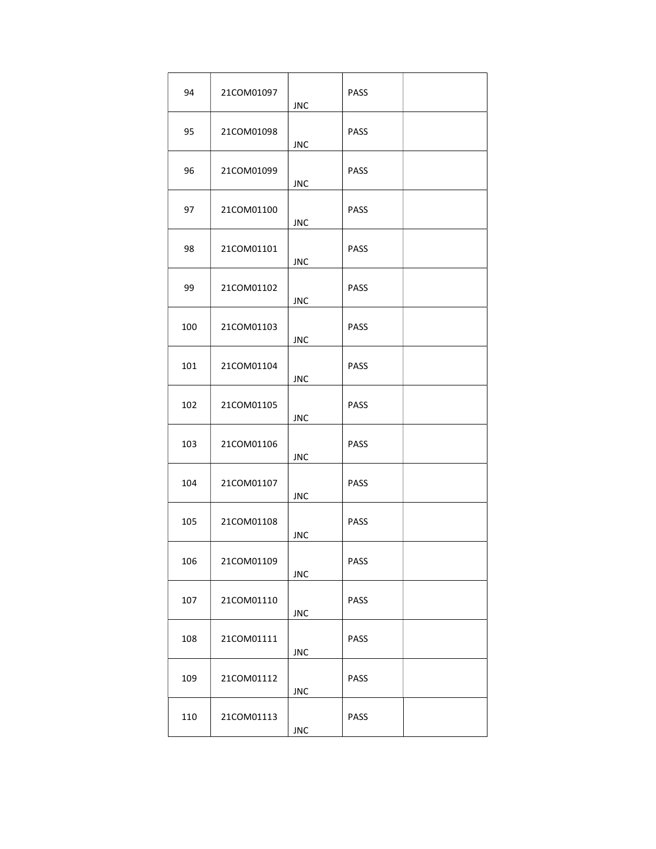| 94  | 21COM01097 | <b>JNC</b> | <b>PASS</b> |  |
|-----|------------|------------|-------------|--|
| 95  | 21COM01098 | <b>JNC</b> | <b>PASS</b> |  |
| 96  | 21COM01099 | <b>JNC</b> | <b>PASS</b> |  |
| 97  | 21COM01100 | <b>JNC</b> | <b>PASS</b> |  |
| 98  | 21COM01101 | <b>JNC</b> | <b>PASS</b> |  |
| 99  | 21COM01102 | <b>JNC</b> | <b>PASS</b> |  |
| 100 | 21COM01103 | <b>JNC</b> | <b>PASS</b> |  |
| 101 | 21COM01104 | <b>JNC</b> | <b>PASS</b> |  |
| 102 | 21COM01105 | <b>JNC</b> | <b>PASS</b> |  |
| 103 | 21COM01106 | <b>JNC</b> | PASS        |  |
| 104 | 21COM01107 | <b>JNC</b> | PASS        |  |
| 105 | 21COM01108 | <b>JNC</b> | PASS        |  |
| 106 | 21COM01109 | <b>JNC</b> | PASS        |  |
| 107 | 21COM01110 | <b>JNC</b> | PASS        |  |
| 108 | 21COM01111 | <b>JNC</b> | PASS        |  |
| 109 | 21COM01112 | <b>JNC</b> | PASS        |  |
| 110 | 21COM01113 | <b>JNC</b> | PASS        |  |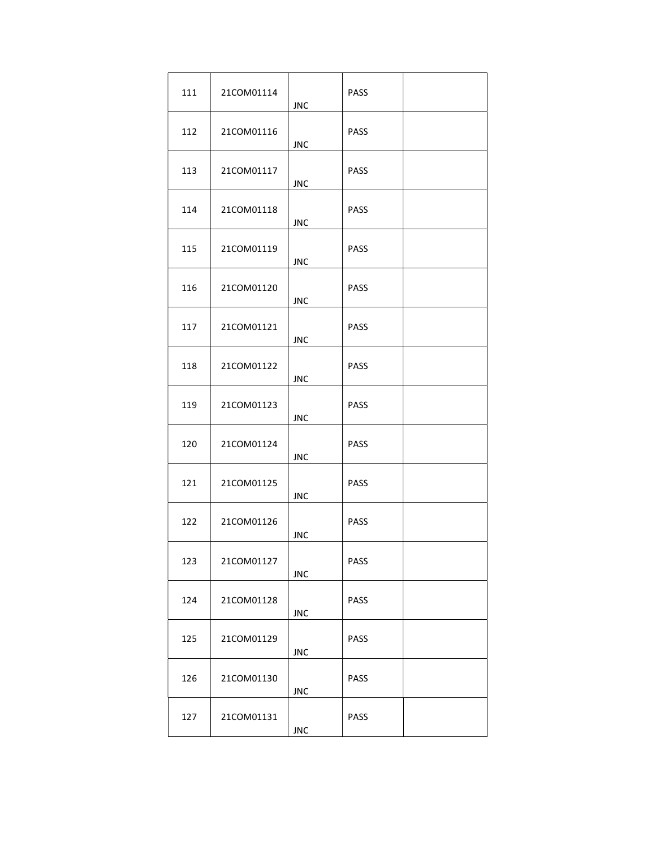| 111 | 21COM01114 | <b>JNC</b> | PASS        |  |
|-----|------------|------------|-------------|--|
| 112 | 21COM01116 | <b>JNC</b> | <b>PASS</b> |  |
| 113 | 21COM01117 | <b>JNC</b> | <b>PASS</b> |  |
| 114 | 21COM01118 | <b>JNC</b> | <b>PASS</b> |  |
| 115 | 21COM01119 | <b>JNC</b> | <b>PASS</b> |  |
| 116 | 21COM01120 | <b>JNC</b> | <b>PASS</b> |  |
| 117 | 21COM01121 | <b>JNC</b> | PASS        |  |
| 118 | 21COM01122 | <b>JNC</b> | PASS        |  |
| 119 | 21COM01123 | <b>JNC</b> | PASS        |  |
| 120 | 21COM01124 | <b>JNC</b> | PASS        |  |
| 121 | 21COM01125 | <b>JNC</b> | PASS        |  |
| 122 | 21COM01126 | <b>JNC</b> | PASS        |  |
| 123 | 21COM01127 | <b>JNC</b> | PASS        |  |
| 124 | 21COM01128 | <b>JNC</b> | PASS        |  |
| 125 | 21COM01129 | <b>JNC</b> | PASS        |  |
| 126 | 21COM01130 | <b>JNC</b> | PASS        |  |
| 127 | 21COM01131 | <b>JNC</b> | PASS        |  |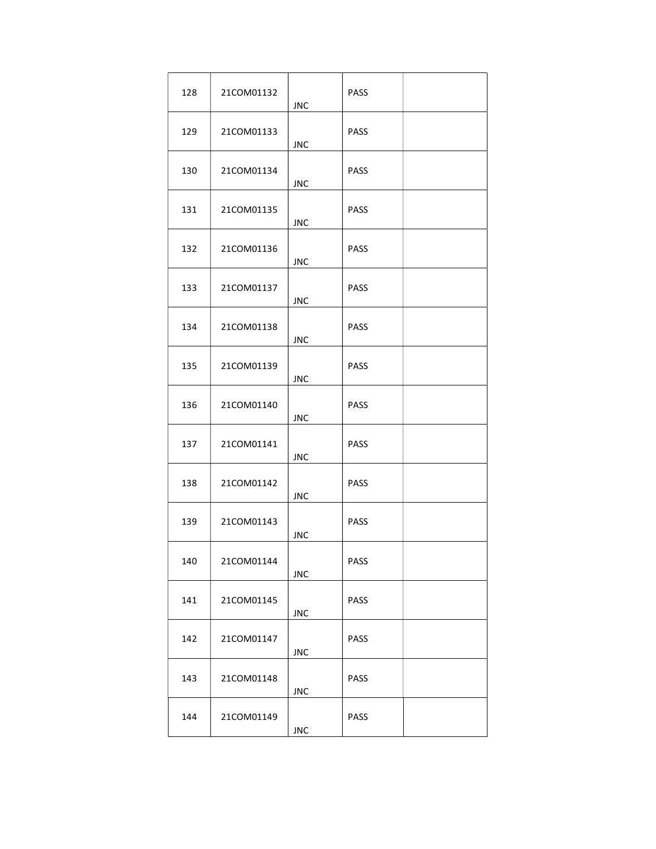| 128 | 21COM01132 | <b>JNC</b> | <b>PASS</b> |  |
|-----|------------|------------|-------------|--|
| 129 | 21COM01133 | JNC.       | <b>PASS</b> |  |
| 130 | 21COM01134 | <b>JNC</b> | <b>PASS</b> |  |
| 131 | 21COM01135 | <b>JNC</b> | <b>PASS</b> |  |
| 132 | 21COM01136 | <b>JNC</b> | <b>PASS</b> |  |
| 133 | 21COM01137 | <b>JNC</b> | <b>PASS</b> |  |
| 134 | 21COM01138 | <b>JNC</b> | <b>PASS</b> |  |
| 135 | 21COM01139 | <b>JNC</b> | <b>PASS</b> |  |
| 136 | 21COM01140 | <b>JNC</b> | <b>PASS</b> |  |
| 137 | 21COM01141 | <b>JNC</b> | <b>PASS</b> |  |
| 138 | 21COM01142 | <b>JNC</b> | <b>PASS</b> |  |
| 139 | 21COM01143 | <b>JNC</b> | <b>PASS</b> |  |
| 140 | 21COM01144 | <b>JNC</b> | <b>PASS</b> |  |
| 141 | 21COM01145 | <b>JNC</b> | PASS        |  |
| 142 | 21COM01147 | <b>JNC</b> | PASS        |  |
| 143 | 21COM01148 | JNC        | PASS        |  |
| 144 | 21COM01149 | JNC        | PASS        |  |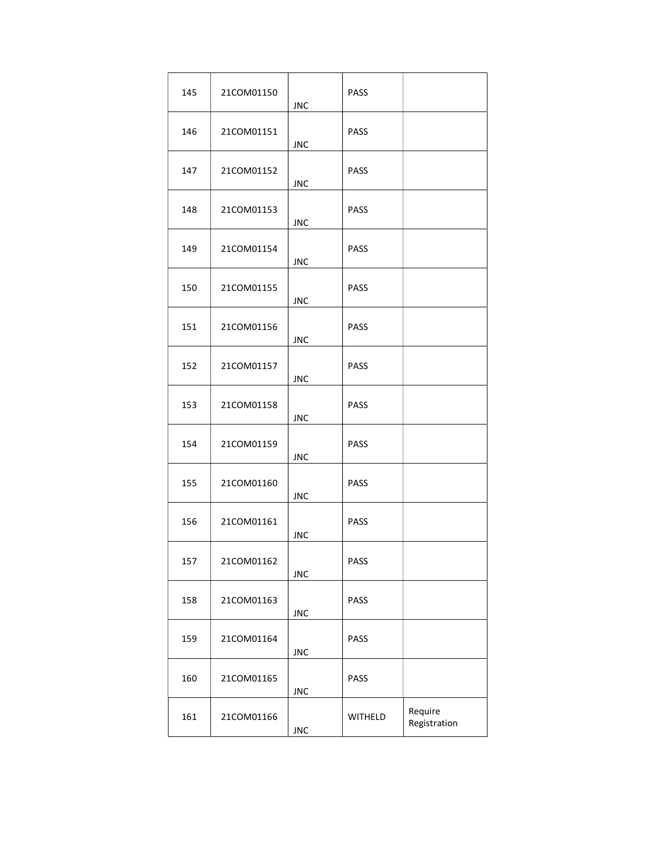| 145 | 21COM01150 | <b>JNC</b> | <b>PASS</b> |                         |
|-----|------------|------------|-------------|-------------------------|
| 146 | 21COM01151 | <b>JNC</b> | <b>PASS</b> |                         |
| 147 | 21COM01152 | <b>JNC</b> | <b>PASS</b> |                         |
| 148 | 21COM01153 | <b>JNC</b> | <b>PASS</b> |                         |
| 149 | 21COM01154 | <b>JNC</b> | <b>PASS</b> |                         |
| 150 | 21COM01155 | <b>JNC</b> | <b>PASS</b> |                         |
| 151 | 21COM01156 | <b>JNC</b> | <b>PASS</b> |                         |
| 152 | 21COM01157 | <b>JNC</b> | <b>PASS</b> |                         |
| 153 | 21COM01158 | <b>JNC</b> | <b>PASS</b> |                         |
| 154 | 21COM01159 | <b>JNC</b> | <b>PASS</b> |                         |
| 155 | 21COM01160 | <b>JNC</b> | <b>PASS</b> |                         |
| 156 | 21COM01161 | <b>JNC</b> | <b>PASS</b> |                         |
| 157 | 21COM01162 | <b>JNC</b> | PASS        |                         |
| 158 | 21COM01163 | <b>JNC</b> | PASS        |                         |
| 159 | 21COM01164 | <b>JNC</b> | PASS        |                         |
| 160 | 21COM01165 | <b>JNC</b> | PASS        |                         |
| 161 | 21COM01166 | <b>JNC</b> | WITHELD     | Require<br>Registration |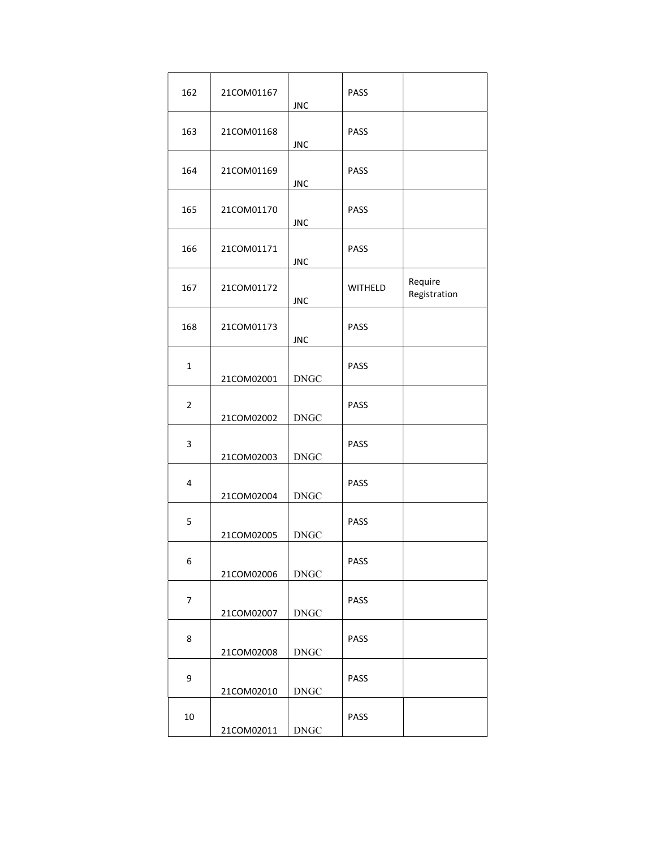| 162            | 21COM01167 | <b>JNC</b>  | PASS           |                         |
|----------------|------------|-------------|----------------|-------------------------|
| 163            | 21COM01168 | <b>JNC</b>  | PASS           |                         |
| 164            | 21COM01169 | <b>JNC</b>  | PASS           |                         |
| 165            | 21COM01170 | <b>JNC</b>  | PASS           |                         |
| 166            | 21COM01171 | <b>JNC</b>  | PASS           |                         |
| 167            | 21COM01172 | <b>JNC</b>  | <b>WITHELD</b> | Require<br>Registration |
| 168            | 21COM01173 | <b>JNC</b>  | PASS           |                         |
| $\mathbf{1}$   | 21COM02001 | <b>DNGC</b> | PASS           |                         |
| $\overline{2}$ | 21COM02002 | <b>DNGC</b> | PASS           |                         |
| 3              | 21COM02003 | <b>DNGC</b> | PASS           |                         |
| 4              | 21COM02004 | <b>DNGC</b> | PASS           |                         |
| 5              | 21COM02005 | <b>DNGC</b> | PASS           |                         |
| 6              | 21COM02006 | <b>DNGC</b> | PASS           |                         |
| $\overline{7}$ | 21COM02007 | <b>DNGC</b> | <b>PASS</b>    |                         |
| 8              | 21COM02008 | <b>DNGC</b> | PASS           |                         |
| 9              | 21COM02010 | <b>DNGC</b> | PASS           |                         |
| 10             | 21COM02011 | <b>DNGC</b> | <b>PASS</b>    |                         |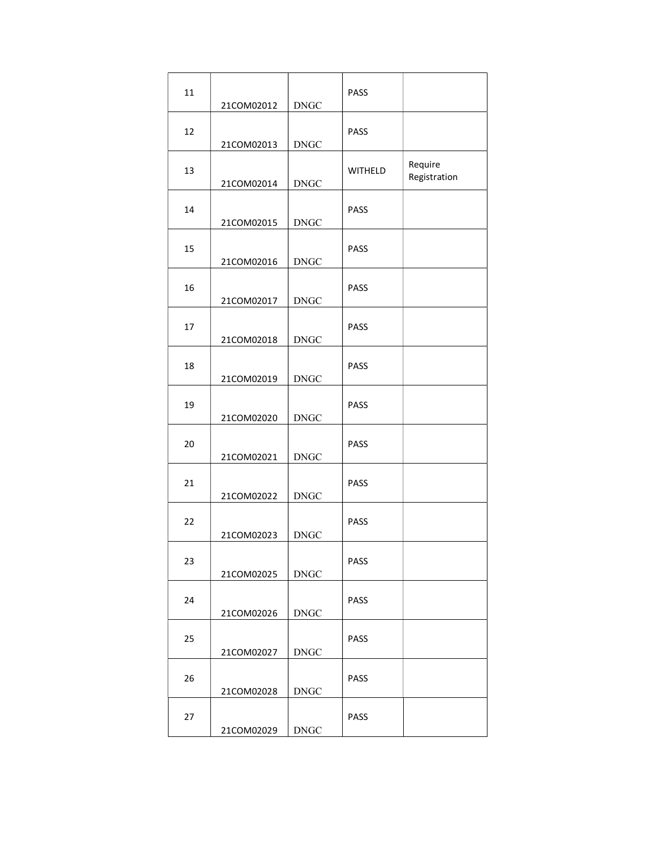| 11 | 21COM02012 | <b>DNGC</b> | <b>PASS</b>    |                         |
|----|------------|-------------|----------------|-------------------------|
| 12 | 21COM02013 | <b>DNGC</b> | <b>PASS</b>    |                         |
| 13 | 21COM02014 | <b>DNGC</b> | <b>WITHELD</b> | Require<br>Registration |
| 14 | 21COM02015 | <b>DNGC</b> | <b>PASS</b>    |                         |
| 15 | 21COM02016 | <b>DNGC</b> | <b>PASS</b>    |                         |
| 16 | 21COM02017 | <b>DNGC</b> | <b>PASS</b>    |                         |
| 17 | 21COM02018 | <b>DNGC</b> | <b>PASS</b>    |                         |
| 18 | 21COM02019 | <b>DNGC</b> | PASS           |                         |
| 19 | 21COM02020 | <b>DNGC</b> | PASS           |                         |
| 20 | 21COM02021 | <b>DNGC</b> | PASS           |                         |
| 21 | 21COM02022 | <b>DNGC</b> | PASS           |                         |
| 22 | 21COM02023 | <b>DNGC</b> | PASS           |                         |
| 23 | 21COM02025 | <b>DNGC</b> | <b>PASS</b>    |                         |
| 24 | 21COM02026 | <b>DNGC</b> | <b>PASS</b>    |                         |
| 25 | 21COM02027 | <b>DNGC</b> | <b>PASS</b>    |                         |
| 26 | 21COM02028 | <b>DNGC</b> | <b>PASS</b>    |                         |
| 27 | 21COM02029 | <b>DNGC</b> | <b>PASS</b>    |                         |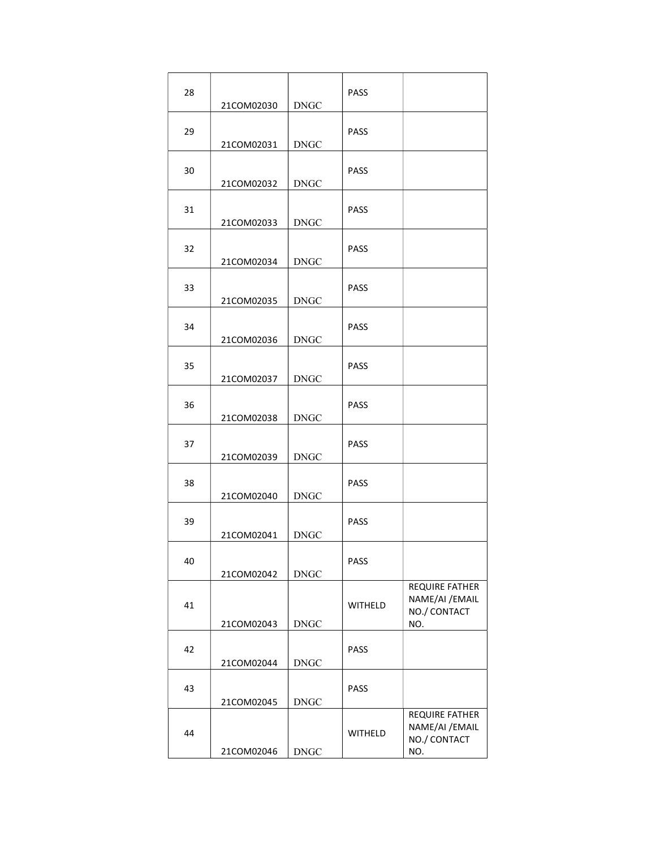| 28 | 21COM02030 | <b>DNGC</b> | <b>PASS</b>    |                                                          |
|----|------------|-------------|----------------|----------------------------------------------------------|
| 29 | 21COM02031 | <b>DNGC</b> | <b>PASS</b>    |                                                          |
| 30 | 21COM02032 | <b>DNGC</b> | <b>PASS</b>    |                                                          |
| 31 | 21COM02033 | <b>DNGC</b> | <b>PASS</b>    |                                                          |
| 32 | 21COM02034 | <b>DNGC</b> | <b>PASS</b>    |                                                          |
| 33 | 21COM02035 | <b>DNGC</b> | <b>PASS</b>    |                                                          |
| 34 | 21COM02036 | <b>DNGC</b> | <b>PASS</b>    |                                                          |
| 35 | 21COM02037 | <b>DNGC</b> | <b>PASS</b>    |                                                          |
| 36 | 21COM02038 | <b>DNGC</b> | <b>PASS</b>    |                                                          |
| 37 | 21COM02039 | <b>DNGC</b> | <b>PASS</b>    |                                                          |
| 38 | 21COM02040 | <b>DNGC</b> | <b>PASS</b>    |                                                          |
| 39 | 21COM02041 | <b>DNGC</b> | <b>PASS</b>    |                                                          |
| 40 | 21COM02042 | <b>DNGC</b> | PASS           |                                                          |
| 41 | 21COM02043 | <b>DNGC</b> | <b>WITHELD</b> | REQUIRE FATHER<br>NAME/AI / EMAIL<br>NO./ CONTACT<br>NO. |
| 42 | 21COM02044 | <b>DNGC</b> | <b>PASS</b>    |                                                          |
| 43 | 21COM02045 | <b>DNGC</b> | <b>PASS</b>    |                                                          |
| 44 | 21COM02046 | <b>DNGC</b> | <b>WITHELD</b> | REQUIRE FATHER<br>NAME/AI / EMAIL<br>NO./ CONTACT<br>NO. |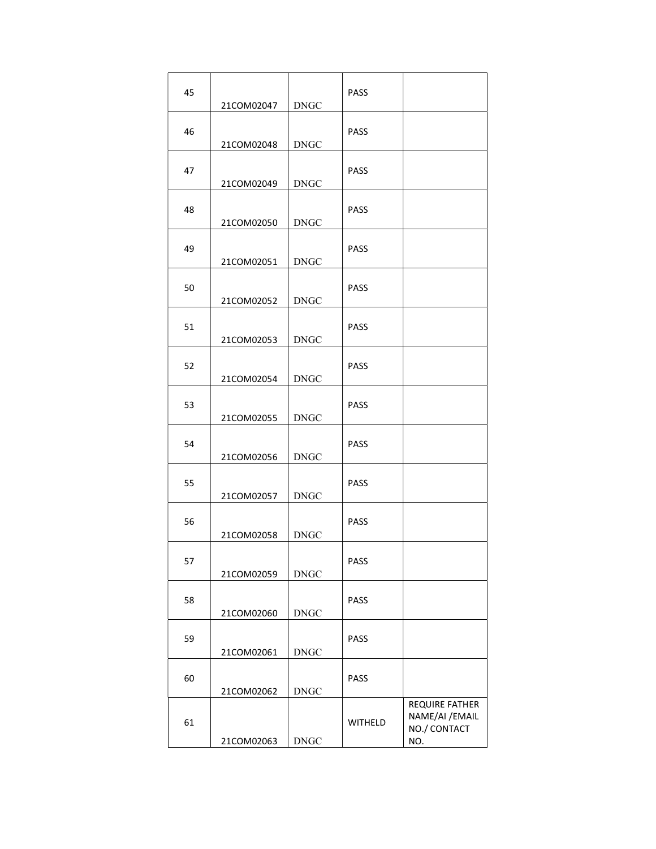| 45 | 21COM02047 | <b>DNGC</b> | <b>PASS</b>    |                                                          |
|----|------------|-------------|----------------|----------------------------------------------------------|
| 46 | 21COM02048 | <b>DNGC</b> | <b>PASS</b>    |                                                          |
| 47 | 21COM02049 | <b>DNGC</b> | <b>PASS</b>    |                                                          |
| 48 | 21COM02050 | <b>DNGC</b> | <b>PASS</b>    |                                                          |
| 49 | 21COM02051 | <b>DNGC</b> | <b>PASS</b>    |                                                          |
| 50 | 21COM02052 | <b>DNGC</b> | <b>PASS</b>    |                                                          |
| 51 | 21COM02053 | <b>DNGC</b> | <b>PASS</b>    |                                                          |
| 52 | 21COM02054 | <b>DNGC</b> | PASS           |                                                          |
| 53 | 21COM02055 | <b>DNGC</b> | <b>PASS</b>    |                                                          |
| 54 | 21COM02056 | <b>DNGC</b> | <b>PASS</b>    |                                                          |
| 55 | 21COM02057 | <b>DNGC</b> | <b>PASS</b>    |                                                          |
| 56 | 21COM02058 | <b>DNGC</b> | <b>PASS</b>    |                                                          |
| 57 | 21COM02059 | <b>DNGC</b> | PASS           |                                                          |
| 58 | 21COM02060 | <b>DNGC</b> | <b>PASS</b>    |                                                          |
| 59 | 21COM02061 | <b>DNGC</b> | <b>PASS</b>    |                                                          |
| 60 | 21COM02062 | <b>DNGC</b> | <b>PASS</b>    |                                                          |
| 61 | 21COM02063 | <b>DNGC</b> | <b>WITHELD</b> | REQUIRE FATHER<br>NAME/AI / EMAIL<br>NO./ CONTACT<br>NO. |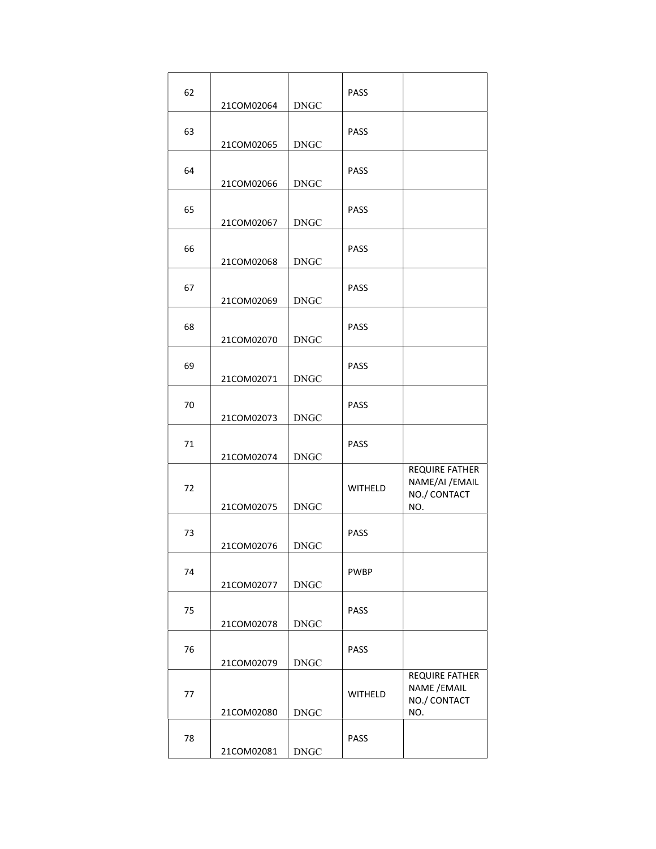| 62 | 21COM02064 | <b>DNGC</b> | <b>PASS</b>    |                                                          |
|----|------------|-------------|----------------|----------------------------------------------------------|
| 63 | 21COM02065 | <b>DNGC</b> | <b>PASS</b>    |                                                          |
| 64 | 21COM02066 | <b>DNGC</b> | <b>PASS</b>    |                                                          |
| 65 | 21COM02067 | <b>DNGC</b> | <b>PASS</b>    |                                                          |
| 66 | 21COM02068 | <b>DNGC</b> | <b>PASS</b>    |                                                          |
| 67 | 21COM02069 | <b>DNGC</b> | <b>PASS</b>    |                                                          |
| 68 | 21COM02070 | <b>DNGC</b> | <b>PASS</b>    |                                                          |
| 69 | 21COM02071 | <b>DNGC</b> | <b>PASS</b>    |                                                          |
| 70 | 21COM02073 | <b>DNGC</b> | <b>PASS</b>    |                                                          |
| 71 | 21COM02074 | <b>DNGC</b> | <b>PASS</b>    |                                                          |
| 72 | 21COM02075 | <b>DNGC</b> | <b>WITHELD</b> | REQUIRE FATHER<br>NAME/AI / EMAIL<br>NO./ CONTACT<br>NO. |
| 73 | 21COM02076 | <b>DNGC</b> | <b>PASS</b>    |                                                          |
| 74 | 21COM02077 | <b>DNGC</b> | <b>PWBP</b>    |                                                          |
| 75 | 21COM02078 | <b>DNGC</b> | <b>PASS</b>    |                                                          |
| 76 | 21COM02079 | <b>DNGC</b> | <b>PASS</b>    |                                                          |
| 77 | 21COM02080 | <b>DNGC</b> | <b>WITHELD</b> | REQUIRE FATHER<br>NAME / EMAIL<br>NO./ CONTACT<br>NO.    |
| 78 | 21COM02081 | <b>DNGC</b> | <b>PASS</b>    |                                                          |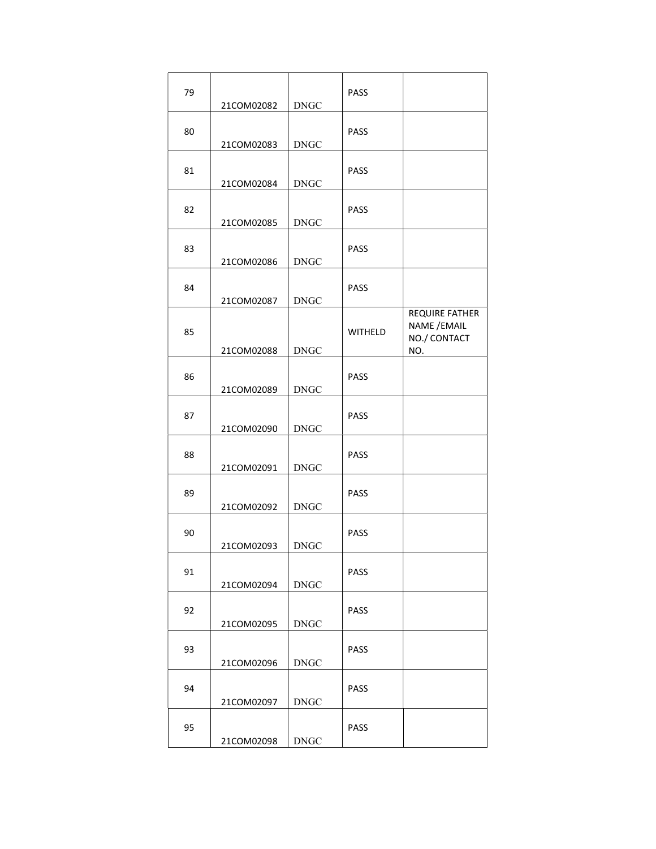| 79 | 21COM02082 | <b>DNGC</b> | <b>PASS</b>    |                                                       |
|----|------------|-------------|----------------|-------------------------------------------------------|
| 80 | 21COM02083 | <b>DNGC</b> | <b>PASS</b>    |                                                       |
| 81 | 21COM02084 | <b>DNGC</b> | <b>PASS</b>    |                                                       |
| 82 | 21COM02085 | <b>DNGC</b> | PASS           |                                                       |
| 83 | 21COM02086 | <b>DNGC</b> | <b>PASS</b>    |                                                       |
| 84 | 21COM02087 | <b>DNGC</b> | <b>PASS</b>    |                                                       |
| 85 | 21COM02088 | <b>DNGC</b> | <b>WITHELD</b> | REQUIRE FATHER<br>NAME / EMAIL<br>NO./ CONTACT<br>NO. |
| 86 | 21COM02089 | <b>DNGC</b> | <b>PASS</b>    |                                                       |
| 87 | 21COM02090 | <b>DNGC</b> | <b>PASS</b>    |                                                       |
| 88 | 21COM02091 | <b>DNGC</b> | <b>PASS</b>    |                                                       |
| 89 | 21COM02092 | <b>DNGC</b> | PASS           |                                                       |
| 90 | 21COM02093 | <b>DNGC</b> | <b>PASS</b>    |                                                       |
| 91 | 21COM02094 | <b>DNGC</b> | <b>PASS</b>    |                                                       |
| 92 | 21COM02095 | <b>DNGC</b> | <b>PASS</b>    |                                                       |
| 93 | 21COM02096 | <b>DNGC</b> | <b>PASS</b>    |                                                       |
| 94 | 21COM02097 | <b>DNGC</b> | <b>PASS</b>    |                                                       |
| 95 | 21COM02098 | <b>DNGC</b> | <b>PASS</b>    |                                                       |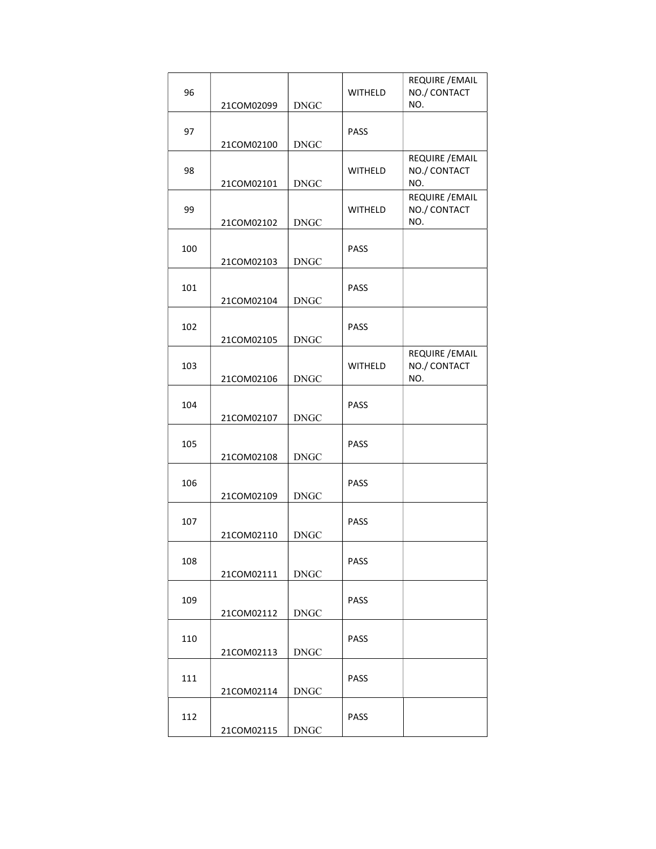| 96  | 21COM02099 | <b>DNGC</b> | WITHELD        | REQUIRE / EMAIL<br>NO./ CONTACT<br>NO. |
|-----|------------|-------------|----------------|----------------------------------------|
| 97  | 21COM02100 | <b>DNGC</b> | PASS           |                                        |
| 98  | 21COM02101 | <b>DNGC</b> | <b>WITHELD</b> | REQUIRE / EMAIL<br>NO./ CONTACT<br>NO. |
| 99  | 21COM02102 | <b>DNGC</b> | <b>WITHELD</b> | REQUIRE / EMAIL<br>NO./ CONTACT<br>NO. |
| 100 | 21COM02103 | <b>DNGC</b> | <b>PASS</b>    |                                        |
| 101 | 21COM02104 | <b>DNGC</b> | PASS           |                                        |
| 102 | 21COM02105 | <b>DNGC</b> | <b>PASS</b>    |                                        |
| 103 | 21COM02106 | <b>DNGC</b> | <b>WITHELD</b> | REQUIRE / EMAIL<br>NO./ CONTACT<br>NO. |
| 104 | 21COM02107 | <b>DNGC</b> | <b>PASS</b>    |                                        |
| 105 | 21COM02108 | <b>DNGC</b> | <b>PASS</b>    |                                        |
| 106 | 21COM02109 | <b>DNGC</b> | PASS           |                                        |
| 107 | 21COM02110 | <b>DNGC</b> | <b>PASS</b>    |                                        |
| 108 | 21COM02111 | <b>DNGC</b> | PASS           |                                        |
| 109 | 21COM02112 | <b>DNGC</b> | PASS           |                                        |
| 110 | 21COM02113 | <b>DNGC</b> | PASS           |                                        |
| 111 | 21COM02114 | <b>DNGC</b> | PASS           |                                        |
| 112 | 21COM02115 | <b>DNGC</b> | PASS           |                                        |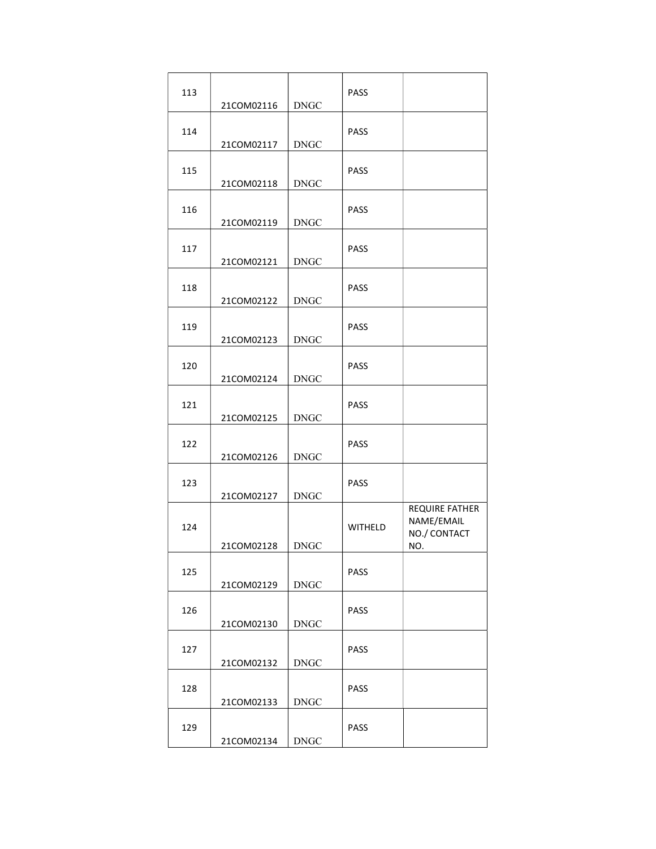| 113 | 21COM02116 | <b>DNGC</b> | PASS           |                                                     |
|-----|------------|-------------|----------------|-----------------------------------------------------|
| 114 | 21COM02117 | <b>DNGC</b> | <b>PASS</b>    |                                                     |
| 115 | 21COM02118 | <b>DNGC</b> | PASS           |                                                     |
| 116 | 21COM02119 | <b>DNGC</b> | PASS           |                                                     |
| 117 | 21COM02121 | <b>DNGC</b> | <b>PASS</b>    |                                                     |
| 118 | 21COM02122 | <b>DNGC</b> | PASS           |                                                     |
| 119 | 21COM02123 | <b>DNGC</b> | PASS           |                                                     |
| 120 | 21COM02124 | <b>DNGC</b> | PASS           |                                                     |
| 121 | 21COM02125 | <b>DNGC</b> | PASS           |                                                     |
| 122 | 21COM02126 | <b>DNGC</b> | PASS           |                                                     |
| 123 | 21COM02127 | <b>DNGC</b> | PASS           |                                                     |
| 124 | 21COM02128 | <b>DNGC</b> | <b>WITHELD</b> | REQUIRE FATHER<br>NAME/EMAIL<br>NO./ CONTACT<br>NO. |
| 125 | 21COM02129 | <b>DNGC</b> | PASS           |                                                     |
| 126 | 21COM02130 | <b>DNGC</b> | <b>PASS</b>    |                                                     |
| 127 | 21COM02132 | <b>DNGC</b> | <b>PASS</b>    |                                                     |
| 128 | 21COM02133 | <b>DNGC</b> | <b>PASS</b>    |                                                     |
| 129 | 21COM02134 | <b>DNGC</b> | <b>PASS</b>    |                                                     |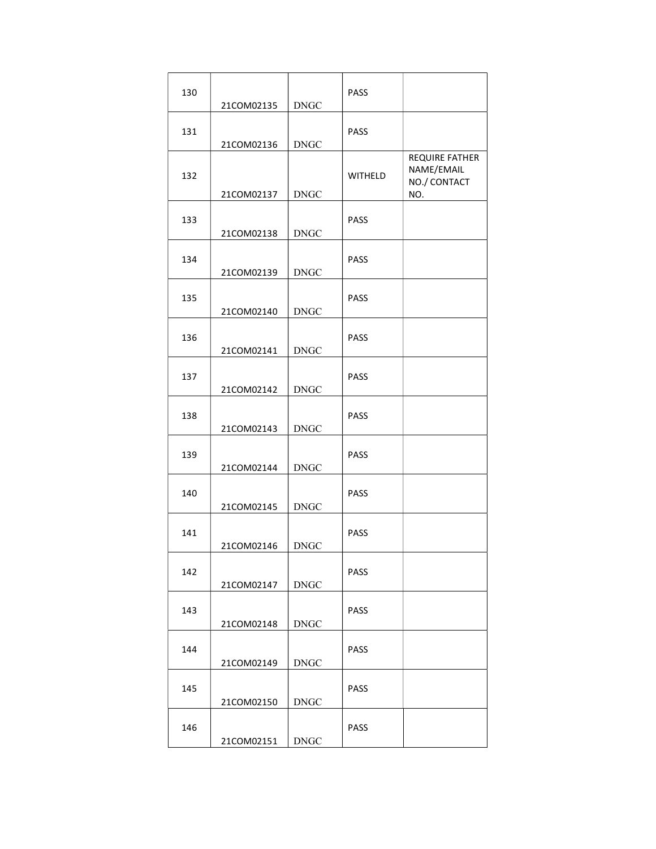| 130 | 21COM02135 | <b>DNGC</b> | PASS           |                                                     |
|-----|------------|-------------|----------------|-----------------------------------------------------|
| 131 | 21COM02136 | <b>DNGC</b> | <b>PASS</b>    |                                                     |
| 132 | 21COM02137 | <b>DNGC</b> | <b>WITHELD</b> | REQUIRE FATHER<br>NAME/EMAIL<br>NO./ CONTACT<br>NO. |
| 133 | 21COM02138 | <b>DNGC</b> | PASS           |                                                     |
| 134 | 21COM02139 | <b>DNGC</b> | <b>PASS</b>    |                                                     |
| 135 | 21COM02140 | <b>DNGC</b> | <b>PASS</b>    |                                                     |
| 136 | 21COM02141 | <b>DNGC</b> | <b>PASS</b>    |                                                     |
| 137 | 21COM02142 | <b>DNGC</b> | <b>PASS</b>    |                                                     |
| 138 | 21COM02143 | <b>DNGC</b> | <b>PASS</b>    |                                                     |
| 139 | 21COM02144 | <b>DNGC</b> | <b>PASS</b>    |                                                     |
| 140 | 21COM02145 | <b>DNGC</b> | PASS           |                                                     |
| 141 | 21COM02146 | <b>DNGC</b> | PASS           |                                                     |
| 142 | 21COM02147 | <b>DNGC</b> | <b>PASS</b>    |                                                     |
| 143 | 21COM02148 | <b>DNGC</b> | <b>PASS</b>    |                                                     |
| 144 | 21COM02149 | <b>DNGC</b> | <b>PASS</b>    |                                                     |
| 145 | 21COM02150 | <b>DNGC</b> | <b>PASS</b>    |                                                     |
| 146 | 21COM02151 | <b>DNGC</b> | <b>PASS</b>    |                                                     |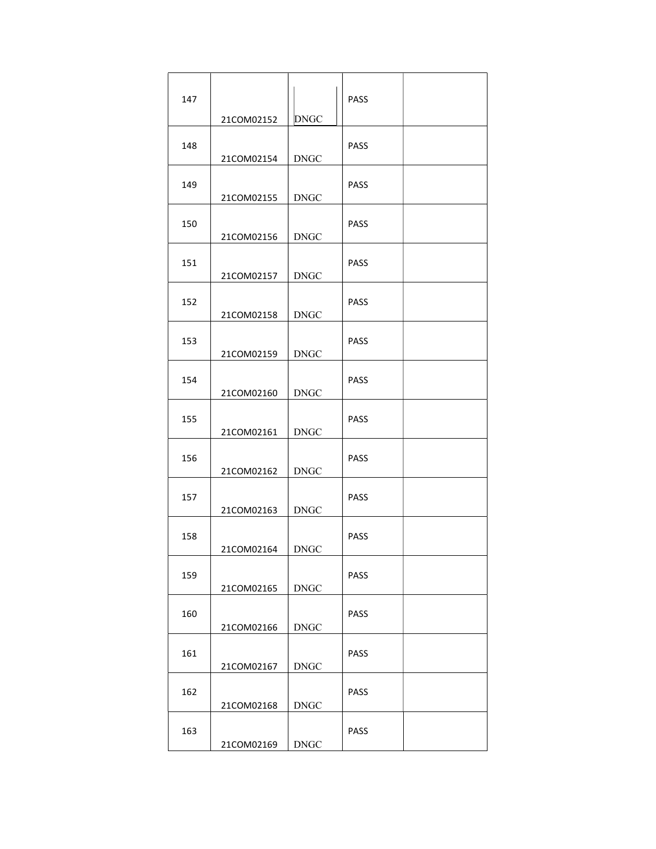| 147 |                          | <b>DNGC</b>           | PASS        |  |
|-----|--------------------------|-----------------------|-------------|--|
| 148 | 21COM02152<br>21COM02154 | <b>DNGC</b>           | <b>PASS</b> |  |
| 149 | 21COM02155               | <b>DNGC</b>           | <b>PASS</b> |  |
| 150 | 21COM02156               | <b>DNGC</b>           | <b>PASS</b> |  |
| 151 | 21COM02157               | <b>DNGC</b>           | <b>PASS</b> |  |
| 152 | 21COM02158               | <b>DNGC</b>           | <b>PASS</b> |  |
| 153 | 21COM02159               | <b>DNGC</b>           | <b>PASS</b> |  |
| 154 | 21COM02160               | <b>DNGC</b>           | <b>PASS</b> |  |
| 155 | 21COM02161               | <b>DNGC</b>           | PASS        |  |
| 156 | 21COM02162               | <b>DNGC</b>           | <b>PASS</b> |  |
| 157 | 21COM02163               | <b>DNGC</b>           | <b>PASS</b> |  |
| 158 | 21COM02164               | <b>DNGC</b>           | PASS        |  |
| 159 | 21COM02165               | $\operatorname{DNGC}$ | <b>PASS</b> |  |
| 160 | 21COM02166               | <b>DNGC</b>           | PASS        |  |
| 161 | 21COM02167               | <b>DNGC</b>           | PASS        |  |
| 162 | 21COM02168               | <b>DNGC</b>           | <b>PASS</b> |  |
| 163 | 21COM02169               | <b>DNGC</b>           | <b>PASS</b> |  |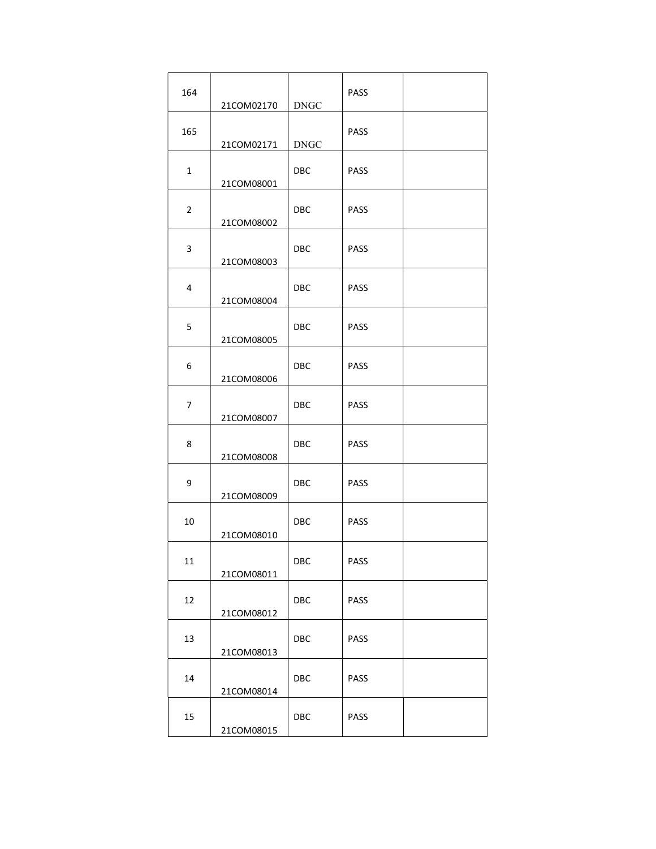| 164            | 21COM02170 | <b>DNGC</b>             | <b>PASS</b> |  |
|----------------|------------|-------------------------|-------------|--|
| 165            | 21COM02171 | <b>DNGC</b>             | <b>PASS</b> |  |
| $\mathbf{1}$   | 21COM08001 | <b>DBC</b>              | <b>PASS</b> |  |
| $\overline{2}$ | 21COM08002 | DBC.                    | <b>PASS</b> |  |
| 3              | 21COM08003 | <b>DBC</b>              | <b>PASS</b> |  |
| 4              | 21COM08004 | <b>DBC</b>              | <b>PASS</b> |  |
| 5              | 21COM08005 | <b>DBC</b>              | <b>PASS</b> |  |
| 6              | 21COM08006 | <b>DBC</b>              | <b>PASS</b> |  |
| 7              | 21COM08007 | <b>DBC</b>              | <b>PASS</b> |  |
| 8              | 21COM08008 | <b>DBC</b>              | <b>PASS</b> |  |
| 9              | 21COM08009 | <b>DBC</b>              | <b>PASS</b> |  |
| 10             | 21COM08010 | <b>DBC</b>              | <b>PASS</b> |  |
| 11             | 21COM08011 | DBC                     | PASS        |  |
| 12             | 21COM08012 | $\overline{\text{DBC}}$ | PASS        |  |
| 13             | 21COM08013 | <b>DBC</b>              | <b>PASS</b> |  |
| 14             | 21COM08014 | DBC                     | <b>PASS</b> |  |
| 15             | 21COM08015 | DBC                     | PASS        |  |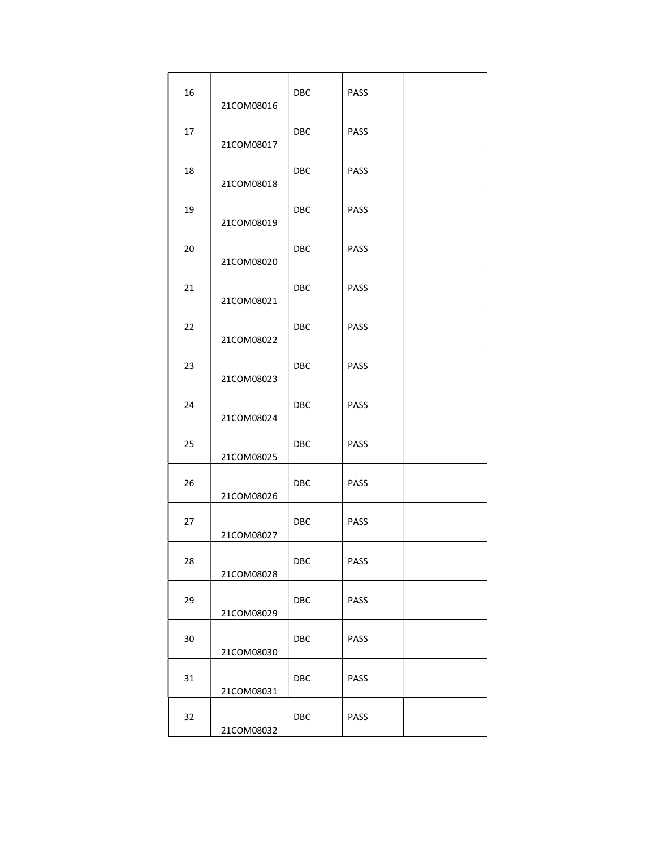| 16 | 21COM08016 | DBC        | <b>PASS</b> |  |
|----|------------|------------|-------------|--|
| 17 | 21COM08017 | <b>DBC</b> | <b>PASS</b> |  |
| 18 | 21COM08018 | <b>DBC</b> | <b>PASS</b> |  |
| 19 | 21COM08019 | <b>DBC</b> | <b>PASS</b> |  |
| 20 | 21COM08020 | <b>DBC</b> | <b>PASS</b> |  |
| 21 | 21COM08021 | <b>DBC</b> | <b>PASS</b> |  |
| 22 | 21COM08022 | <b>DBC</b> | <b>PASS</b> |  |
| 23 | 21COM08023 | <b>DBC</b> | <b>PASS</b> |  |
| 24 | 21COM08024 | <b>DBC</b> | <b>PASS</b> |  |
| 25 | 21COM08025 | <b>DBC</b> | <b>PASS</b> |  |
| 26 | 21COM08026 | <b>DBC</b> | <b>PASS</b> |  |
| 27 | 21COM08027 | <b>DBC</b> | <b>PASS</b> |  |
| 28 | 21COM08028 | DBC        | PASS        |  |
| 29 | 21COM08029 | DBC        | PASS        |  |
| 30 | 21COM08030 | DBC        | PASS        |  |
| 31 | 21COM08031 | <b>DBC</b> | <b>PASS</b> |  |
| 32 | 21COM08032 | DBC        | PASS        |  |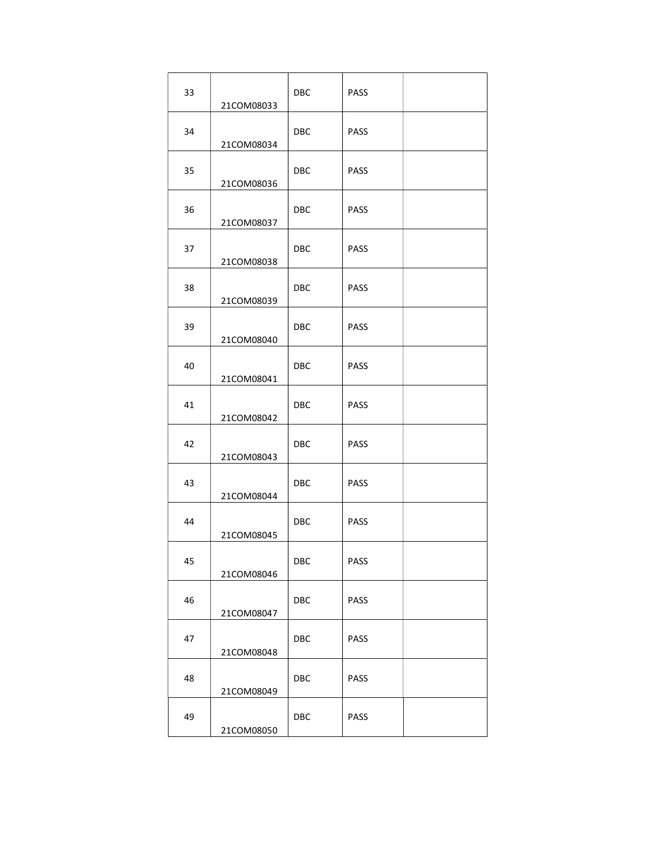| 33 | 21COM08033 | <b>DBC</b> | <b>PASS</b> |  |
|----|------------|------------|-------------|--|
| 34 | 21COM08034 | <b>DBC</b> | <b>PASS</b> |  |
| 35 | 21COM08036 | <b>DBC</b> | <b>PASS</b> |  |
| 36 | 21COM08037 | <b>DBC</b> | <b>PASS</b> |  |
| 37 | 21COM08038 | <b>DBC</b> | <b>PASS</b> |  |
| 38 | 21COM08039 | <b>DBC</b> | <b>PASS</b> |  |
| 39 | 21COM08040 | <b>DBC</b> | <b>PASS</b> |  |
| 40 | 21COM08041 | <b>DBC</b> | <b>PASS</b> |  |
| 41 | 21COM08042 | <b>DBC</b> | <b>PASS</b> |  |
| 42 | 21COM08043 | <b>DBC</b> | <b>PASS</b> |  |
| 43 | 21COM08044 | <b>DBC</b> | <b>PASS</b> |  |
| 44 | 21COM08045 | <b>DBC</b> | <b>PASS</b> |  |
| 45 | 21COM08046 | DBC        | PASS        |  |
| 46 | 21COM08047 | DBC        | PASS        |  |
| 47 | 21COM08048 | DBC        | PASS        |  |
| 48 | 21COM08049 | DBC        | <b>PASS</b> |  |
| 49 | 21COM08050 | DBC        | PASS        |  |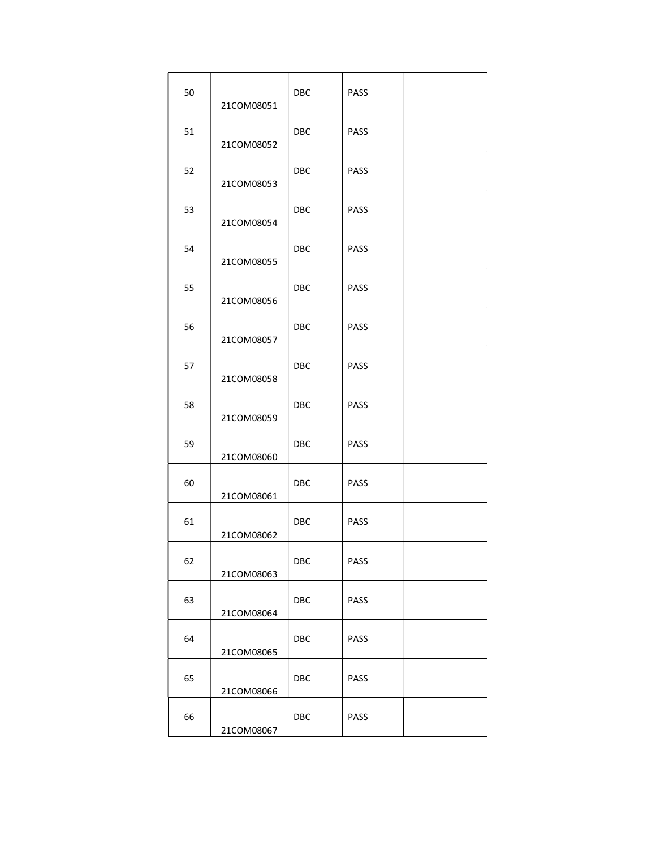| 50 | 21COM08051 | <b>DBC</b> | <b>PASS</b> |  |
|----|------------|------------|-------------|--|
| 51 | 21COM08052 | <b>DBC</b> | <b>PASS</b> |  |
| 52 | 21COM08053 | <b>DBC</b> | <b>PASS</b> |  |
| 53 | 21COM08054 | <b>DBC</b> | <b>PASS</b> |  |
| 54 | 21COM08055 | <b>DBC</b> | <b>PASS</b> |  |
| 55 | 21COM08056 | <b>DBC</b> | <b>PASS</b> |  |
| 56 | 21COM08057 | <b>DBC</b> | <b>PASS</b> |  |
| 57 | 21COM08058 | <b>DBC</b> | <b>PASS</b> |  |
| 58 | 21COM08059 | <b>DBC</b> | <b>PASS</b> |  |
| 59 | 21COM08060 | <b>DBC</b> | <b>PASS</b> |  |
| 60 | 21COM08061 | <b>DBC</b> | <b>PASS</b> |  |
| 61 | 21COM08062 | <b>DBC</b> | <b>PASS</b> |  |
| 62 | 21COM08063 | DBC        | PASS        |  |
| 63 | 21COM08064 | DBC        | PASS        |  |
| 64 | 21COM08065 | DBC        | PASS        |  |
| 65 | 21COM08066 | DBC        | <b>PASS</b> |  |
| 66 | 21COM08067 | DBC        | PASS        |  |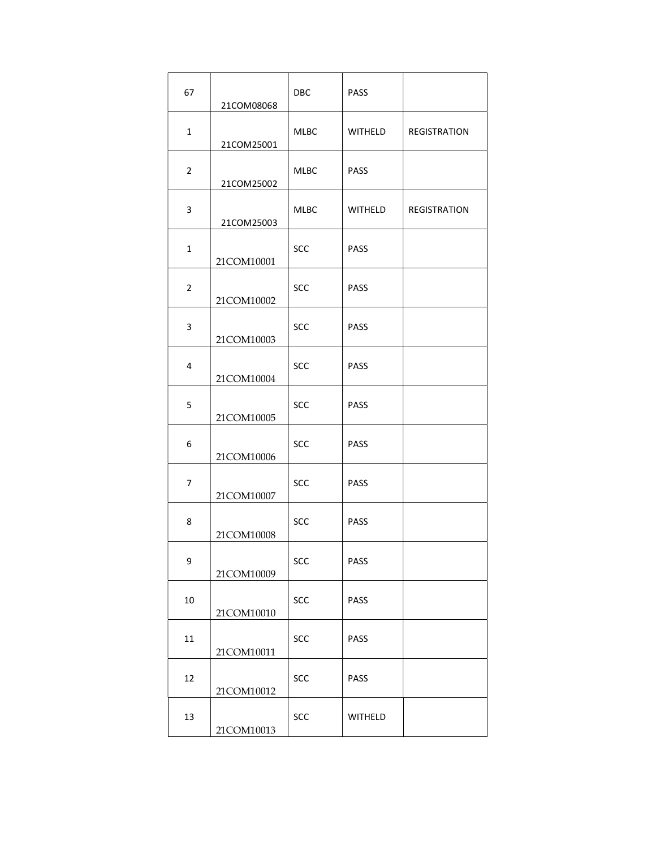| 67             | 21COM08068 | <b>DBC</b>  | <b>PASS</b> |              |
|----------------|------------|-------------|-------------|--------------|
| $\mathbf{1}$   | 21COM25001 | MLBC        | WITHELD     | REGISTRATION |
| $\overline{2}$ | 21COM25002 | <b>MLBC</b> | <b>PASS</b> |              |
| 3              | 21COM25003 | <b>MLBC</b> | WITHELD     | REGISTRATION |
| $\mathbf{1}$   | 21COM10001 | SCC         | <b>PASS</b> |              |
| $\overline{2}$ | 21COM10002 | <b>SCC</b>  | <b>PASS</b> |              |
| 3              | 21COM10003 | <b>SCC</b>  | <b>PASS</b> |              |
| 4              | 21COM10004 | <b>SCC</b>  | <b>PASS</b> |              |
| 5              | 21COM10005 | <b>SCC</b>  | <b>PASS</b> |              |
| 6              | 21COM10006 | SCC         | <b>PASS</b> |              |
| 7              | 21COM10007 | <b>SCC</b>  | <b>PASS</b> |              |
| 8              | 21COM10008 | <b>SCC</b>  | <b>PASS</b> |              |
| 9              | 21COM10009 | SCC         | PASS        |              |
| $10\,$         | 21COM10010 | SCC         | PASS        |              |
| $11\,$         | 21COM10011 | SCC         | PASS        |              |
| 12             | 21COM10012 | SCC         | <b>PASS</b> |              |
| 13             | 21COM10013 | SCC         | WITHELD     |              |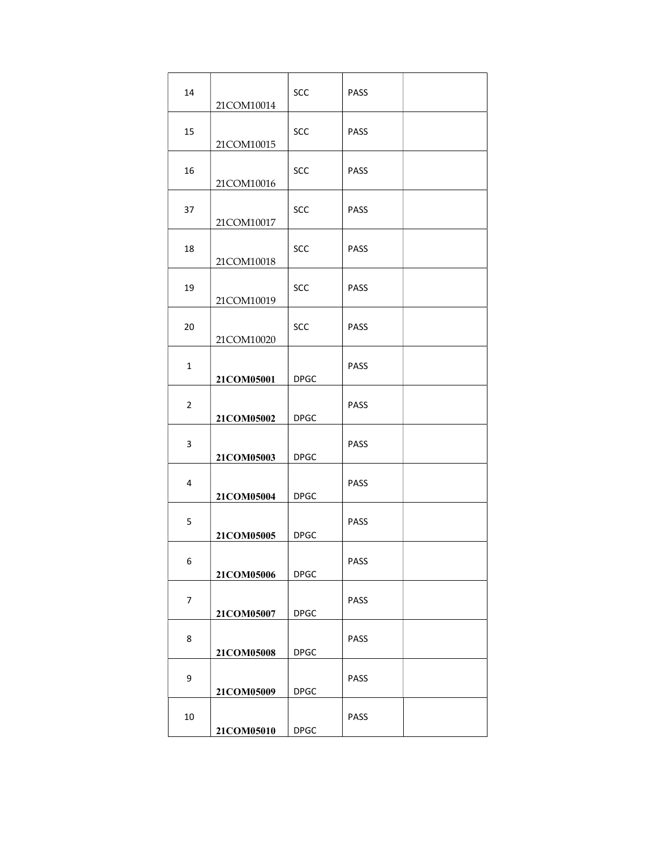| 14             | 21COM10014 | SCC         | <b>PASS</b> |  |
|----------------|------------|-------------|-------------|--|
| 15             | 21COM10015 | <b>SCC</b>  | <b>PASS</b> |  |
| 16             | 21COM10016 | <b>SCC</b>  | <b>PASS</b> |  |
| 37             | 21COM10017 | <b>SCC</b>  | <b>PASS</b> |  |
| 18             | 21COM10018 | <b>SCC</b>  | <b>PASS</b> |  |
| 19             | 21COM10019 | <b>SCC</b>  | <b>PASS</b> |  |
| 20             | 21COM10020 | <b>SCC</b>  | <b>PASS</b> |  |
| $\mathbf{1}$   | 21COM05001 | <b>DPGC</b> | <b>PASS</b> |  |
| $\overline{2}$ | 21COM05002 | <b>DPGC</b> | <b>PASS</b> |  |
| 3              | 21COM05003 | <b>DPGC</b> | <b>PASS</b> |  |
| $\overline{4}$ | 21COM05004 | <b>DPGC</b> | <b>PASS</b> |  |
| 5              | 21COM05005 | <b>DPGC</b> | <b>PASS</b> |  |
| 6              | 21COM05006 | <b>DPGC</b> | <b>PASS</b> |  |
| 7              | 21COM05007 | <b>DPGC</b> | <b>PASS</b> |  |
| 8              | 21COM05008 | <b>DPGC</b> | <b>PASS</b> |  |
| 9              | 21COM05009 | <b>DPGC</b> | <b>PASS</b> |  |
| 10             | 21COM05010 | <b>DPGC</b> | PASS        |  |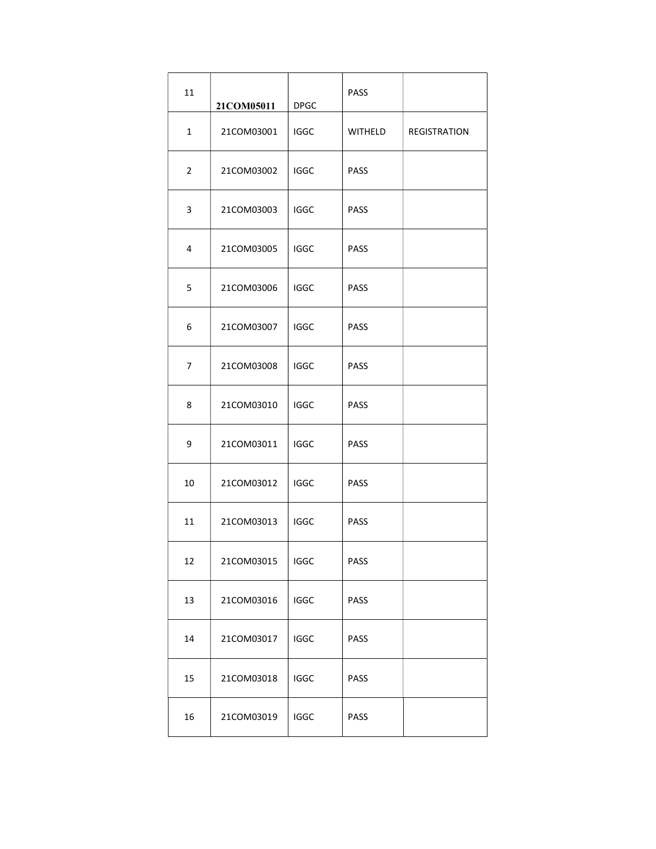| 11             | 21COM05011 | <b>DPGC</b> | <b>PASS</b> |                     |
|----------------|------------|-------------|-------------|---------------------|
| $\mathbf 1$    | 21COM03001 | <b>IGGC</b> | WITHELD     | <b>REGISTRATION</b> |
| $\overline{2}$ | 21COM03002 | <b>IGGC</b> | <b>PASS</b> |                     |
| 3              | 21COM03003 | <b>IGGC</b> | <b>PASS</b> |                     |
| 4              | 21COM03005 | <b>IGGC</b> | <b>PASS</b> |                     |
| 5              | 21COM03006 | <b>IGGC</b> | <b>PASS</b> |                     |
| 6              | 21COM03007 | <b>IGGC</b> | <b>PASS</b> |                     |
| 7              | 21COM03008 | <b>IGGC</b> | <b>PASS</b> |                     |
| 8              | 21COM03010 | <b>IGGC</b> | <b>PASS</b> |                     |
| 9              | 21COM03011 | <b>IGGC</b> | <b>PASS</b> |                     |
| 10             | 21COM03012 | <b>IGGC</b> | <b>PASS</b> |                     |
| 11             | 21COM03013 | <b>IGGC</b> | <b>PASS</b> |                     |
| 12             | 21COM03015 | <b>IGGC</b> | PASS        |                     |
| 13             | 21COM03016 | <b>IGGC</b> | PASS        |                     |
| 14             | 21COM03017 | <b>IGGC</b> | <b>PASS</b> |                     |
| 15             | 21COM03018 | <b>IGGC</b> | PASS        |                     |
| 16             | 21COM03019 | <b>IGGC</b> | PASS        |                     |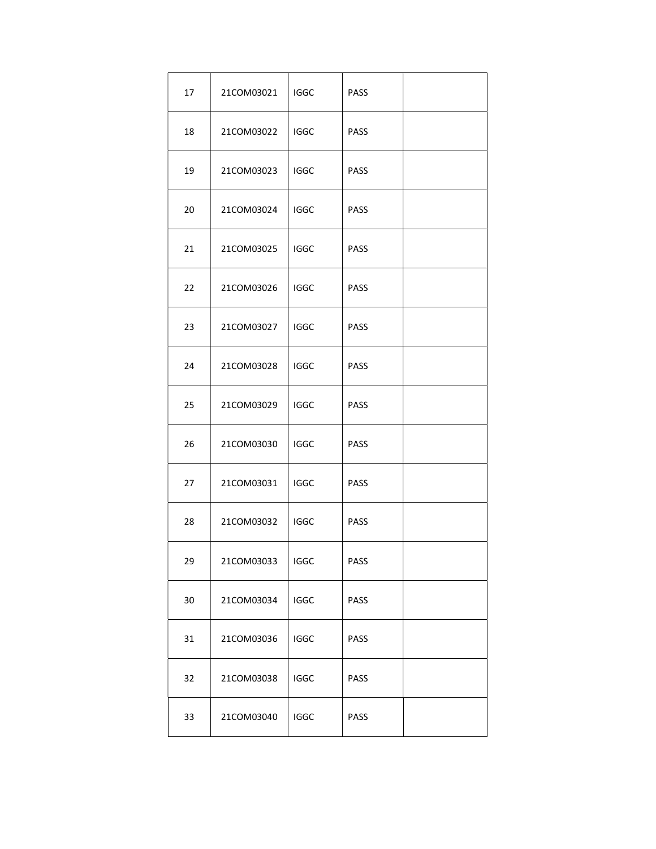| 17 | 21COM03021 | <b>IGGC</b> | PASS        |  |
|----|------------|-------------|-------------|--|
| 18 | 21COM03022 | IGGC        | <b>PASS</b> |  |
| 19 | 21COM03023 | <b>IGGC</b> | <b>PASS</b> |  |
| 20 | 21COM03024 | <b>IGGC</b> | <b>PASS</b> |  |
| 21 | 21COM03025 | <b>IGGC</b> | <b>PASS</b> |  |
| 22 | 21COM03026 | <b>IGGC</b> | <b>PASS</b> |  |
| 23 | 21COM03027 | <b>IGGC</b> | <b>PASS</b> |  |
| 24 | 21COM03028 | <b>IGGC</b> | <b>PASS</b> |  |
| 25 | 21COM03029 | <b>IGGC</b> | <b>PASS</b> |  |
| 26 | 21COM03030 | <b>IGGC</b> | PASS        |  |
| 27 | 21COM03031 | <b>IGGC</b> | PASS        |  |
| 28 | 21COM03032 | <b>IGGC</b> | <b>PASS</b> |  |
| 29 | 21COM03033 | <b>IGGC</b> | PASS        |  |
| 30 | 21COM03034 | <b>IGGC</b> | PASS        |  |
| 31 | 21COM03036 | IGGC        | PASS        |  |
| 32 | 21COM03038 | <b>IGGC</b> | PASS        |  |
| 33 | 21COM03040 | <b>IGGC</b> | PASS        |  |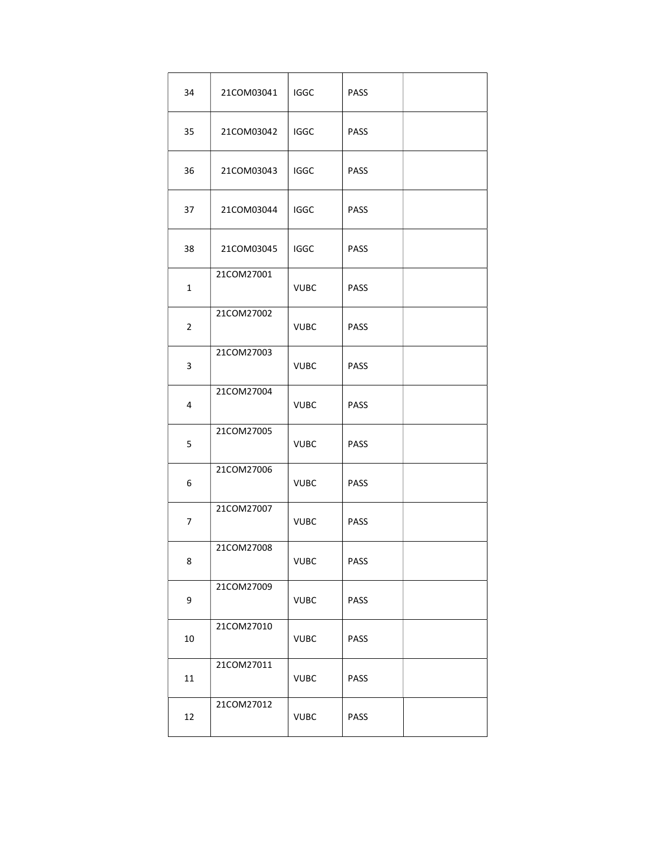| 34             | 21COM03041 | <b>IGGC</b> | PASS        |  |
|----------------|------------|-------------|-------------|--|
| 35             | 21COM03042 | IGGC        | <b>PASS</b> |  |
| 36             | 21COM03043 | IGGC        | <b>PASS</b> |  |
| 37             | 21COM03044 | <b>IGGC</b> | <b>PASS</b> |  |
| 38             | 21COM03045 | <b>IGGC</b> | <b>PASS</b> |  |
| $\mathbf{1}$   | 21COM27001 | <b>VUBC</b> | <b>PASS</b> |  |
| $\overline{2}$ | 21COM27002 | <b>VUBC</b> | <b>PASS</b> |  |
| 3              | 21COM27003 | <b>VUBC</b> | <b>PASS</b> |  |
| 4              | 21COM27004 | <b>VUBC</b> | PASS        |  |
| 5              | 21COM27005 | <b>VUBC</b> | <b>PASS</b> |  |
| 6              | 21COM27006 | <b>VUBC</b> | <b>PASS</b> |  |
| 7              | 21COM27007 | <b>VUBC</b> | <b>PASS</b> |  |
| 8              | 21COM27008 | <b>VUBC</b> | PASS        |  |
| 9              | 21COM27009 | <b>VUBC</b> | PASS        |  |
| $10\,$         | 21COM27010 | <b>VUBC</b> | PASS        |  |
| $11\,$         | 21COM27011 | <b>VUBC</b> | PASS        |  |
| 12             | 21COM27012 | <b>VUBC</b> | PASS        |  |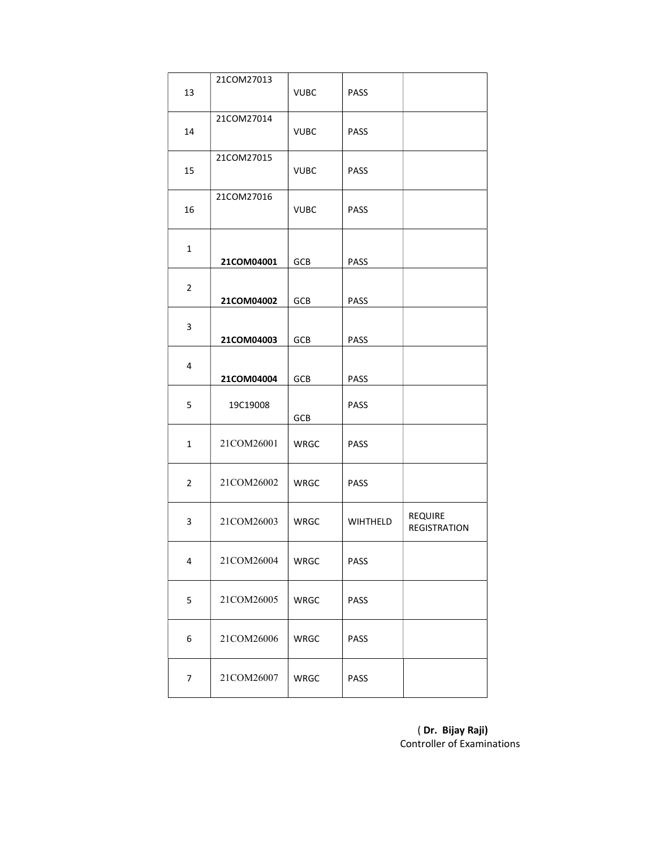|                | 21COM27013 |             |             |                                |
|----------------|------------|-------------|-------------|--------------------------------|
| 13             |            | <b>VUBC</b> | <b>PASS</b> |                                |
| 14             | 21COM27014 | <b>VUBC</b> | <b>PASS</b> |                                |
|                |            |             |             |                                |
| 15             | 21COM27015 | <b>VUBC</b> | <b>PASS</b> |                                |
|                | 21COM27016 |             |             |                                |
| 16             |            | <b>VUBC</b> | <b>PASS</b> |                                |
|                |            |             |             |                                |
| $\mathbf{1}$   | 21COM04001 | GCB         | <b>PASS</b> |                                |
| $\overline{2}$ |            |             |             |                                |
|                | 21COM04002 | GCB         | PASS        |                                |
| 3              |            |             |             |                                |
|                | 21COM04003 | GCB         | PASS        |                                |
| 4              |            |             |             |                                |
|                | 21COM04004 | GCB         | PASS        |                                |
| 5              | 19C19008   | <b>GCB</b>  | PASS        |                                |
| $\mathbf 1$    | 21COM26001 | WRGC        | <b>PASS</b> |                                |
|                |            |             |             |                                |
| $\overline{2}$ | 21COM26002 | WRGC        | <b>PASS</b> |                                |
|                |            |             |             |                                |
| 3              | 21COM26003 | WRGC        | WIHTHELD    | REQUIRE<br><b>REGISTRATION</b> |
|                |            |             |             |                                |
| 4              | 21COM26004 | WRGC        | PASS        |                                |
| 5              | 21COM26005 | WRGC        | PASS        |                                |
|                |            |             |             |                                |
| 6              | 21COM26006 | WRGC        | PASS        |                                |
|                |            |             |             |                                |
| 7              | 21COM26007 | WRGC        | PASS        |                                |

 ( Dr. Bijay Raji) Controller of Examinations